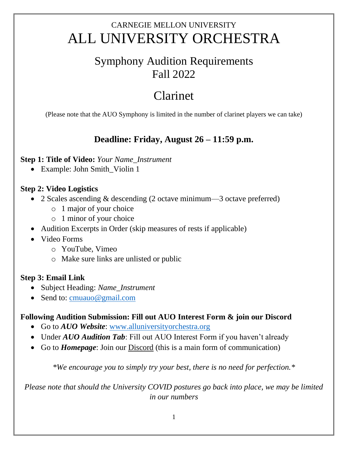# CARNEGIE MELLON UNIVERSITY ALL UNIVERSITY ORCHESTRA

## Symphony Audition Requirements Fall 2022

# Clarinet

(Please note that the AUO Symphony is limited in the number of clarinet players we can take)

## **Deadline: Friday, August 26 – 11:59 p.m.**

#### **Step 1: Title of Video:** *Your Name\_Instrument*

• Example: John Smith\_Violin 1

#### **Step 2: Video Logistics**

- 2 Scales ascending & descending (2 octave minimum—3 octave preferred)
	- o 1 major of your choice
	- o 1 minor of your choice
- Audition Excerpts in Order (skip measures of rests if applicable)
- Video Forms
	- o YouTube, Vimeo
	- o Make sure links are unlisted or public

#### **Step 3: Email Link**

- Subject Heading: *Name\_Instrument*
- Send to: [cmuauo@gmail.com](mailto:cmuauo@gmail.com)

### **Following Audition Submission: Fill out AUO Interest Form & join our Discord**

- Go to *AUO Website*: [www.alluniversityorchestra.org](http://www.alluniversityorchestra.org/)
- Under *AUO Audition Tab*: Fill out AUO Interest Form if you haven't already
- Go to *Homepage*: Join our Discord (this is a main form of communication)

*\*We encourage you to simply try your best, there is no need for perfection.\**

*Please note that should the University COVID postures go back into place, we may be limited in our numbers*